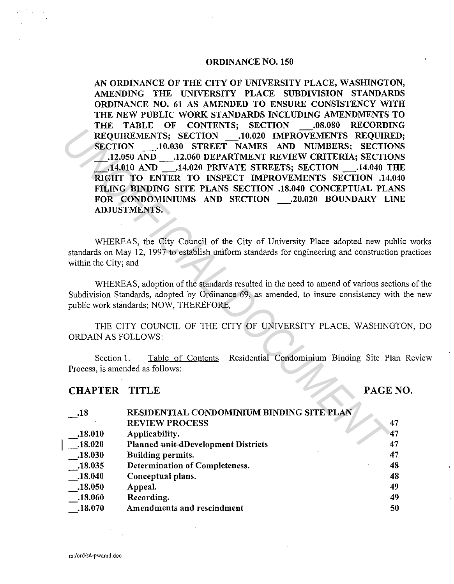#### ORDINANCE NO. 150

AN ORDINANCE OF THE CITY OF UNIVERSITY PLACE, WASHINGTON, AMENDING THE UNIVERSITY PLACE SUBDIVISION STANDARDS ORDINANCE NO. 61 AS AMENDED TO ENSURE CONSISTENCY WITH THE NEW PUBLIC WORK STANDARDS INCLUDING AMENDMENTS TO THE TABLE OF CONTENTS; SECTION .08.080 RECORDING REQUIREMENTS; SECTION \_.10.020 IMPROVEMENTS REQUIRED; SECTION \_.10.030 STREET NAMES AND NUMBERS; SECTIONS \_.12.050 AND \_.12.060 DEPARTMENT REVIEW CRITERIA; SECTIONS \_.14.010 AND \_.14.020 PRIVATE STREETS; SECTION \_.14.040 THE RIGHT TO ENTER TO INSPECT IMPROVEMENTS SECTION .14.040 FILING BINDING SITE PLANS SECTION .18.040 CONCEPTUAL PLANS FOR CONDOMINIUMS AND SECTION .20.020 BOUNDARY LINE ADJUSTMENTS. **EXAMPLE TO THE CITY OF UNIVERSITY PLACE<br>
SECTION 10.030 STREET NAMES ARD NUMBERS; SECTION<br>
SECTION 10.030 STREET NAMES ARD NUMBERS; SECTION<br>
14.030 STREETS; SECTION 2012<br>
14.030 PRIVATE STREETS; SECTION 21.4690<br>
TELING BI** 

WHEREAS, the City Council of the City of University Place adopted new public works standards on May 12, 1997 to establish uniform standards for engineering and construction practices within the City; and

WHEREAS, adoption of the standards resulted in the need to amend of various sections of the Subdivision Standards, adopted by Ordinance 69, as amended, to insure consistency with the new public work standards; NOW, THEREFORE,

THE CITY COUNCIL OF THE CITY OF UNIVERSITY PLACE, WASHINGTON, DO ORDAIN AS FOLLOWS:

Section 1. Table of Contents Residential Condominium Binding Site Plan Review Process, is amended as follows:

# CHAPTER TITLE

PAGE NO.

| - 18    | RESIDENTIAL CONDOMINIUM BINDING SITE PLAN |    |
|---------|-------------------------------------------|----|
|         | <b>REVIEW PROCESS</b>                     | 47 |
| .18.010 | Applicability.                            | 47 |
| .18.020 | Planned unit dDevelopment Districts       | 47 |
| .18.030 | Building permits.                         | 47 |
| .18.035 | Determination of Completeness.            | 48 |
| .18.040 | Conceptual plans.                         | 48 |
| .18.050 | Appeal.                                   | 49 |
| .18.060 | Recording.                                | 49 |
| .18.070 | Amendments and rescindment                | 50 |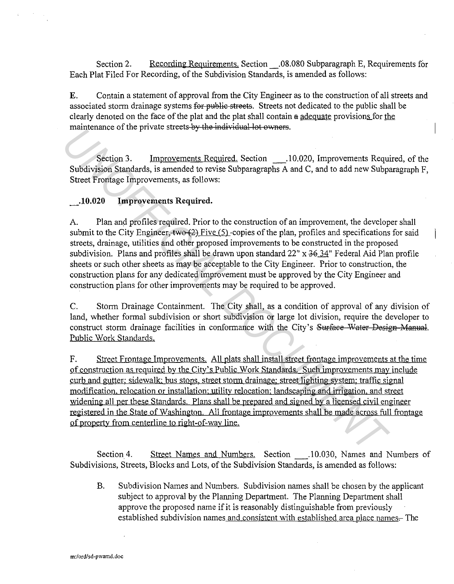Section 2. Recording Requirements. Section .08.080 Subparagraph E, Requirements for Each Plat Filed For Recording, of the Subdivision Standards, is amended as follows:

**E.** Contain a statement of approval from the City Engineer as to the construction of all streets and associated storm drainage systems for public streets. Streets not dedicated to the public shall be clearly denoted on the face of the plat and the plat shall contain a adequate provisions for the maintenance of the private streets by the individual lot owners.

Section 3. Improvements Required. Section .10.020, Improvements Required, of the Subdivision Standards, is amended to revise Subparagraphs A and C, and to add new Subparagraph F, Street Frontage Improvements, as follows:

# **\_.10.020 Improvements Required.**

A. Plan and profiles required. Prior to the construction of an improvement, the developer shall submit to the City Engineer, two  $(2)$  Five  $(5)$  -copies of the plan, profiles and specifications for said streets, drainage, utilities and other proposed improvements to be constructed in the proposed subdivision. Plans and profiles shall be drawn upon standard 22" x 36.34" Federal Aid Plan profile sheets or such other sheets as may be acceptable to the City Engineer. Prior to construction, the construction plans for any dedicated improvement must be approved by the City Engineer and construction plans for other improvements may be required to be approved.

C. Storm Drainage Containment. The City shall, as a condition of approval of any division of land, whether formal subdivision or short subdivision or large lot division, require the developer to construct storm drainage facilities in conformance with the City's Surface Water Design Manual. Public Work Standards.

F. Street Frontage Improvements. All plats shall install street frontage improvements at the time of construction as required by the City's Public Work Standards. Such improvements may include curb and gutter: sidewalk: bus stops. street storm drainage: street lighting system: traffic signal modification. relocation or installation: utility relocation: landscaping and irrigation. and street widening all per these Standards. Plans shall be prepared and signed by a licensed civil engineer registered in the State of Washington. All frontage improvements shall be made across full frontage of property from centerline to right-of-way line. Inantenance of the private strets-s-y-the-nutritude rot-to-thes.<br> **Section 3.** Improvements Required, Section \_\_10.020, Improvements Required<br>
Subdivision Standards, is amended to revise Subparagraphs A and C, and to add n

Section 4. Street Names and Numbers. Section .10.030, Names and Numbers of Subdivisions, Streets, Blocks and Lots, of the Subdivision Standards, is amended as follows:

B. Subdivision Names and Numbers. Subdivision names shall be chosen by the applicant subject to approval by the Planning Department. The Planning Department shall approve the proposed name if it is reasonably distinguishable from previously established subdivision names and consistent with established area place names. The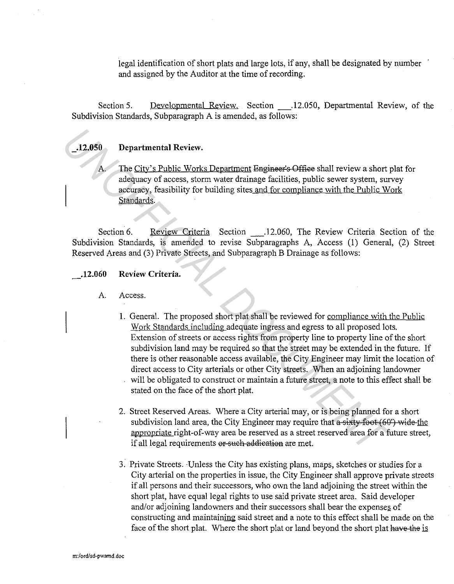legal identification of short plats and large Jots, if any, shall be designated by number and assigned by the Auditor at the time of recording.

Section 5. Developmental Review. Section .12.050, Departmental Review, of the Subdivision Standards, Subparagraph A is amended, as follows:

# **\_.12.050 Departmental Review.**

The City's Public Works Department Engineer's Offiee shall review a short plat for adequacy of access, storm water drainage facilities, public sewer system, survey accuracy, feasibility for building sites and for compliance with the Public Work Standards.

Section 6. Review Criteria Section .12.060, The Review Criteria Section of the Subdivision Standards, is amended to revise Subparagraphs A, Access (!) General, (2) Street Reserved Areas and (3) Private Streets, and Subparagraph B Drainage as follows:

**\_.12.060 Review Criteria.** 

- A. Access.
- I. General. The proposed short plat shall be reviewed for compliance with the Public Work Standards including adequate ingress and egress to all proposed lots. Extension of streets or access rights from property line to property line of the short subdivision land may be required so that the street may be extended in the future. If there is other reasonable access available, the City Engineer may limit the location of direct access to City arterials or other City streets. When an adjoining landowner will be obligated to construct or maintain a future street, a note to this effect shall be stated on the face of the short plat. **12.050** Departmental Review.<br> **A** The City's Public Works Department Engineer's Office shall review a short adequacy of access, storm water drainage facilities, public sewer system, sure<br>
acceivacy, feacibility for buildi

2. Street Reserved Areas. Where a City arterial may, or is being planned for a short subdivision land area, the City Engineer may require that a sixty foot (60') wide the appropriate right-of-way area be reserved as a street reserved area for a future street, if all legal requirements or such addication are met.

3. Private Streets. ·Unless the City has existing plans, maps, sketches or studies for a City arterial on the properties in issue, the City Engineer shall approve private streets if all persons and their successors, who own the land adjoining the street within the short plat, have equal legal rights to use said private street area. Said developer and/or adjoining landowners and their successors shall bear the expenses of constructing and maintaining said street and a note to this effect shall be made on the face of the short plat. Where the short plat or land beyond the short plat have the is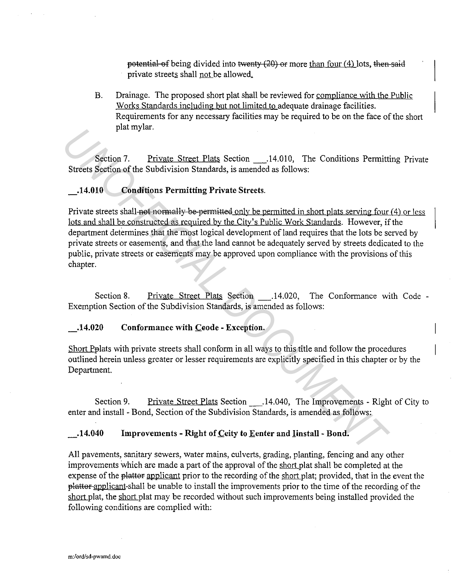potential of being divided into twenty  $(20)$  or more than four  $(4)$  lots, then said private streets shall not be allowed.

B. Drainage. The proposed short plat shall be reviewed for compliance with the Public Works Standards including but not limited to adequate drainage facilities. Requirements for any necessary facilities may be required to be on the face of the short plat mylar.

Section 7. Private Street Plats Section \_.14.010, The Conditions Permitting Private Streets Section of the Subdivision Standards, is amended as follows:

## \_.14.010 Conditions Permitting Private Streets.

Private streets shall not normally be permitted only be permitted in short plats serving four (4) or less lots and shall be constructed as required by the City's Public Work Standards. However, if the department determines that the most logical development of land requires that the lots be served by private streets or easements, and that the land cannot be adequately served by streets dedicated to the public, private streets or easements may be approved upon compliance with the provisions of this chapter. From 7. **Private Street Plats** Section 1.14.010, The Conditions Permitti<br>Streets Section of the Subdivision Standards, is amended as follows:<br>
14.010 **Conditions Permitting Private Streets.**<br>
Private streets shall not room

Section 8. Private Street Plats Section .14.020, The Conformance with Code -Exemption Section of the Subdivision Standards, is amended as follows:

#### .14.020 Conformance with Ceode - Exception.

Short Polats with private streets shall conform in all ways to this title and follow the procedures outlined herein unless greater or lesser requirements are explicitly specified in this chapter or by the Department.

Section 9. Private Street Plats Section .14.040, The Improvements - Right of City to enter and install - Bond, Section of the Subdivision Standards, is amended as follows:

## $14.040$  Improvements - Right of Ceity to Eenter and Install - Bond.

All pavements, sanitary sewers, water mains, culverts, grading, planting, fencing and any other improvements which are made a part of the approval of the short plat shall be completed at the expense of the plattor applicant prior to the recording of the short plat; provided, that in the event the rlattor applicant-shall be unable to install the improvements prior to the time of the recording of the short plat, the short plat may be recorded without such improvements being installed provided the following conditions are complied with: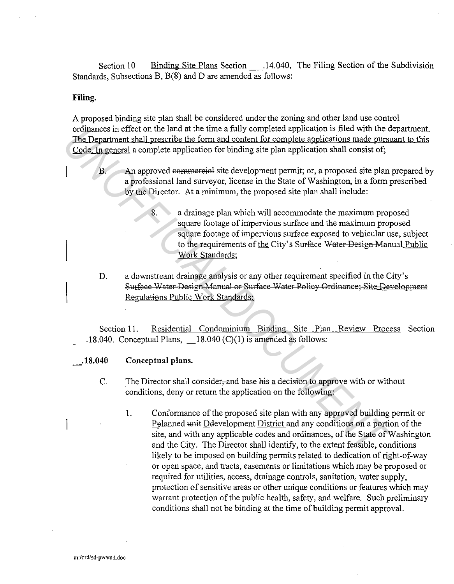Section 10 Binding Site Plans Section .14.040, The Filing Section of the Subdivision Standards, Subsections B, B(8) and D are amended as follows:

#### **Filing.**

A proposed binding site plan shall be considered under the zoning and other land use control ordinances in effect on the land at the time a fully completed application is filed with the department. The Department shall prescribe the form and content for complete applications made pursuant to this Code. In general a complete application for binding site plan application shall consist of;

B. An approved commercial site development permit; or, a proposed site plan prepared by a professional land surveyor, license in the State of Washington, in a form prescribed by the Director. At a minimum, the proposed site plan shall include:

> 8. a drainage plan which will accommodate the maximum proposed square footage of impervious surface and the maximum proposed square footage of impervious surface exposed to vehicular use, subject to the requirements of the City's Surface Water Design Manual Public Work Standards;

D. a downstream drainage analysis or any other requirement specified in the City's Surface Water Design Manual or Surface Water Policy Ordinance; Site Development Regulations Public Work Standards;

Section 11. Residential Condominium Binding Site Plan Review Process Section .18.040. Conceptual Plans,  $\_18.040$  (C)(1) is amended as follows:

#### **\_.18.040 Conceptual plans.**

c. The Director shall consider,-and base his a decision to approve with or without conditions, deny or return the application on the following:

1. Conformance of the proposed site plan with any approved building permit or Pplanned unit Development District and any conditions on a portion of the site, and with any applicable codes and ordinances, of the State of Washington and the City. The Director shall identify, to the extent feasible, conditions likely to be imposed on building permits related to dedication of right-of-way or open space, and tracts, easements or limitations which may be proposed or required for utilities, access, drainage controls, sanitation, water supply, protection of sensitive areas or other unique conditions or features which may warrant protection of the public health, safety, and welfare. Such preliminary conditions shall not be binding at the time of building permit approval. ordinates in etter of the land at the time at fully complete application is fitted with the complete application and content for complete applications made pure<br> **Code.** In general a complete application for binding site p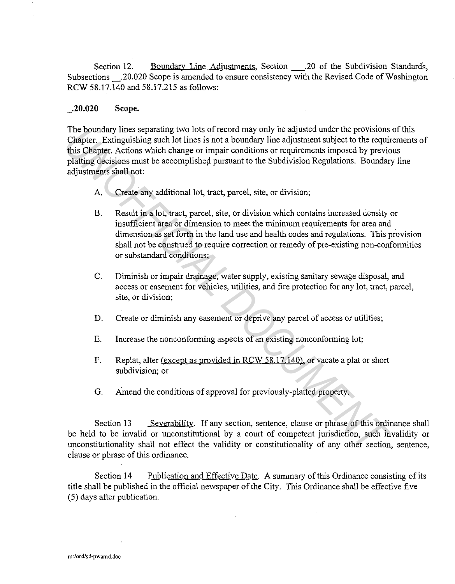Section 12. Boundary Line Adjustments, Section .20 of the Subdivision Standards, Subsections .20.020 Scope is amended to ensure consistency with the Revised Code of Washington RCW 58.17.140 and 58.17.215 as follows:

#### **\_.20.020 Scope.**

The boundary lines separating two lots of record may only be adjusted under the provisions of this Chapter. Extinguishing such lot lines is not a boundary line adjustment subject to the requirements of this Chapter. Actions which change or impair conditions or requirements imposed by previous platting decisions must be accomplished pursuant to the Subdivision Regulations. Boundary line adjustments shall not: The boundary lines separating who lots of record may only be adjustatumer the provisions<br>
Chapter. Extinguishing such lot lines is not a boundary line adjustment subject to the require<br>
this Chapter. Actions which change o

- A. Create any additional lot, tract, parcel, site, or division;
- B. Result in a lot, tract, parcel, site, or division which contains increased density or insufficient area or dimension to meet the minimum requirements for area and dimension as set forth in the land use and health codes and regulations. This provision shall not be construed to require correction or remedy of pre-existing non-conformities or substandard conditions;
- C. Diminish or impair drainage, water supply, existing sanitary sewage disposal, and access or easement for vehicles, utilities, and fire protection for any lot, tract, parcel, site, or division;
- D. Create or diminish any easement or deprive any parcel of access or utilities;
- E. Increase the nonconforming aspects of an existing nonconforming lot;
- F. Replat, alter <u>(except as provided in RCW 58.17.140)</u>, or vacate a plat or short subdivision; or
- G. Amend the conditions of approval for previously-platted property.

Section 13 Severability. If any section, sentence, clause or phrase of this ordinance shall be held to be invalid or unconstitutional by a court of competent jurisdiction, such invalidity or unconstitutionality shall not effect the validity or constitutionality of any other section, sentence, clause or phrase of this ordinance.

Section 14 Publication and Effective Date. A summary of this Ordinance consisting of its title shall be published in the official newspaper of the City. This Ordinance shall be effective five (5) days after publication.